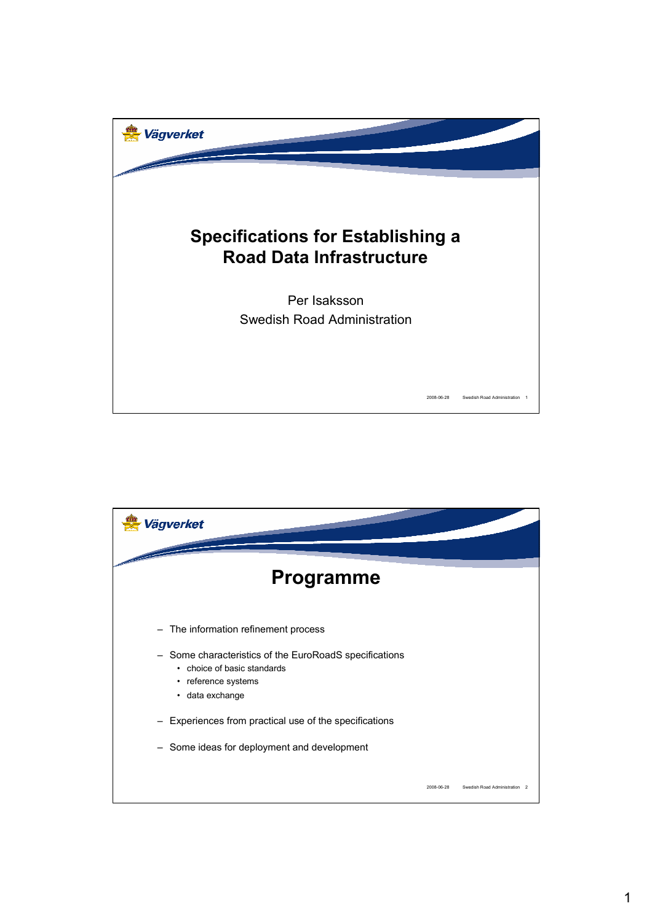

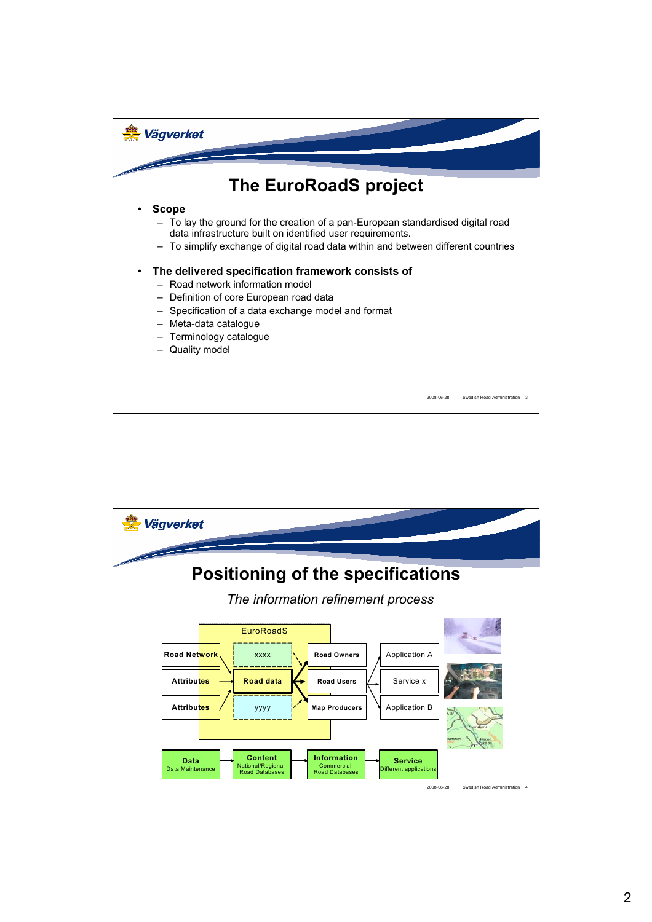

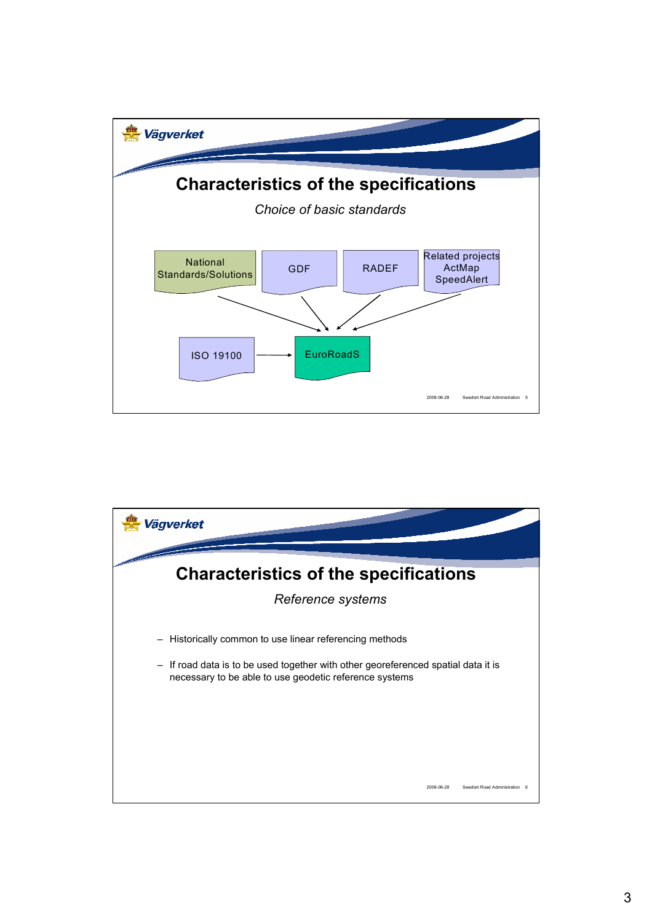

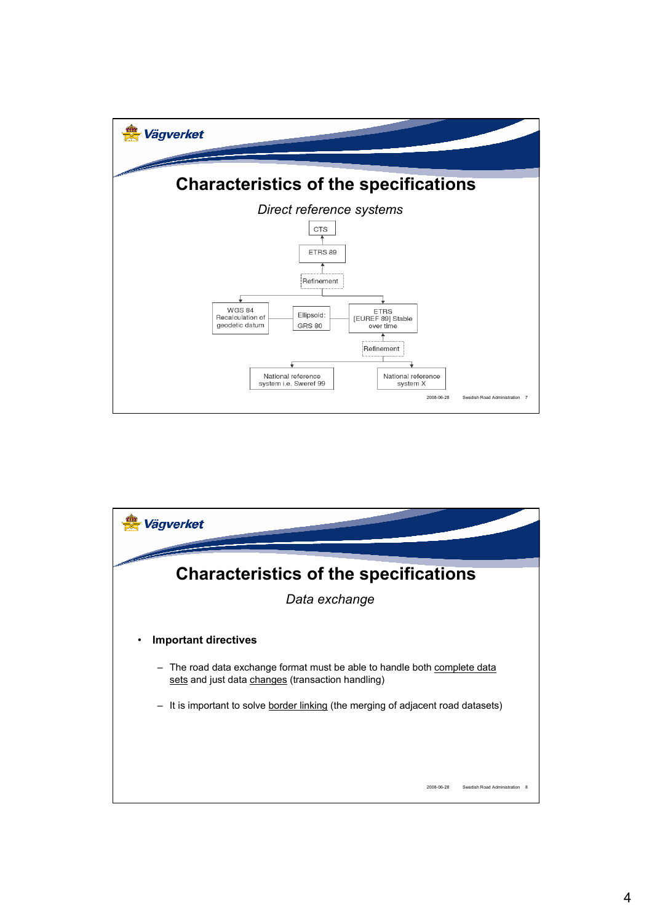

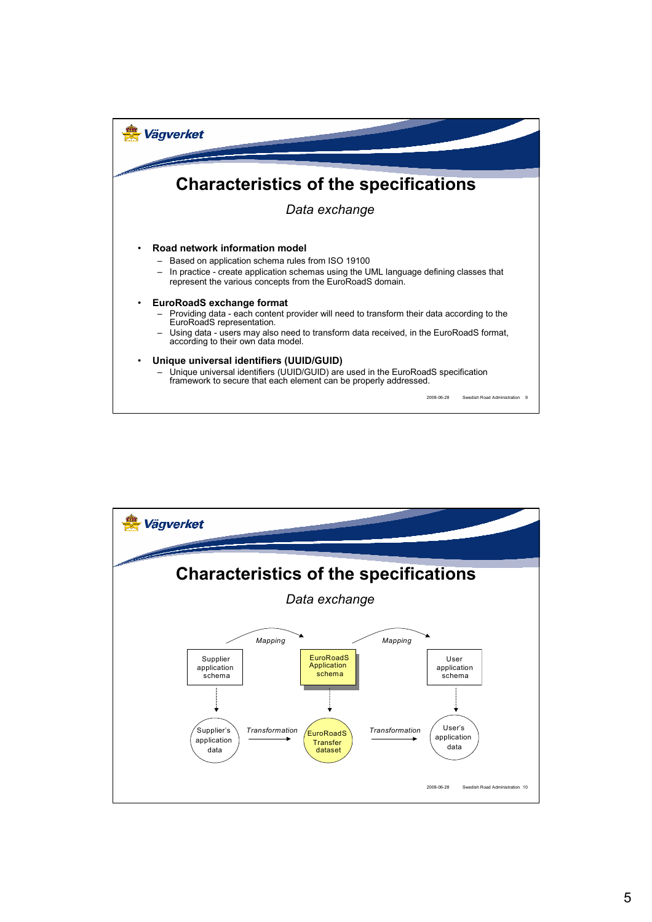

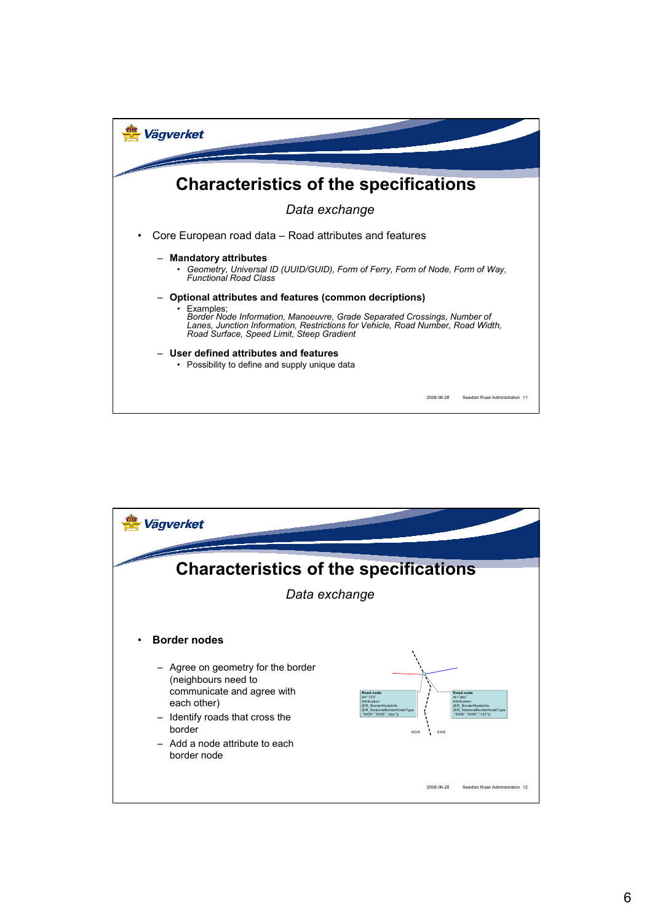

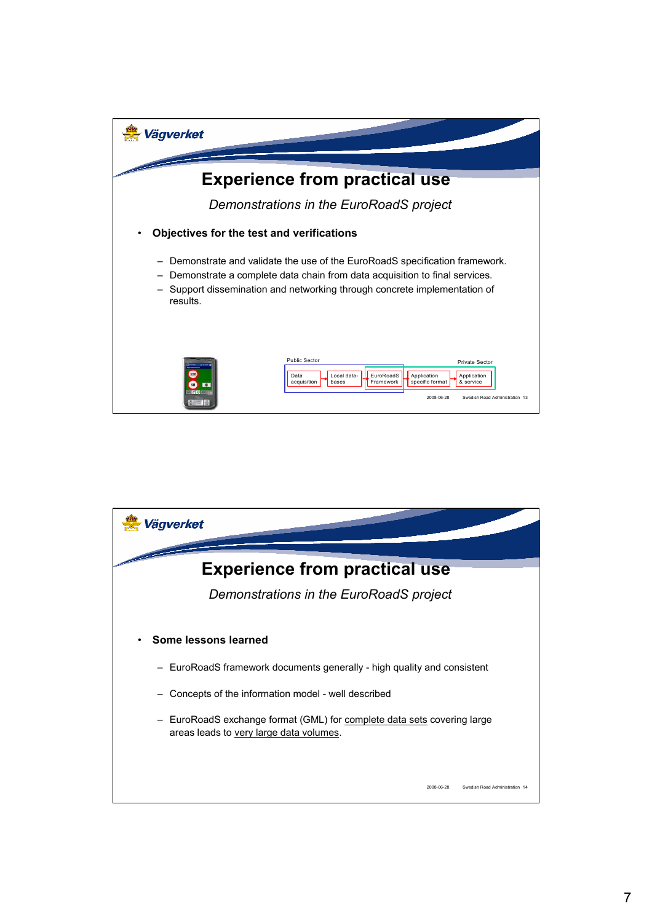

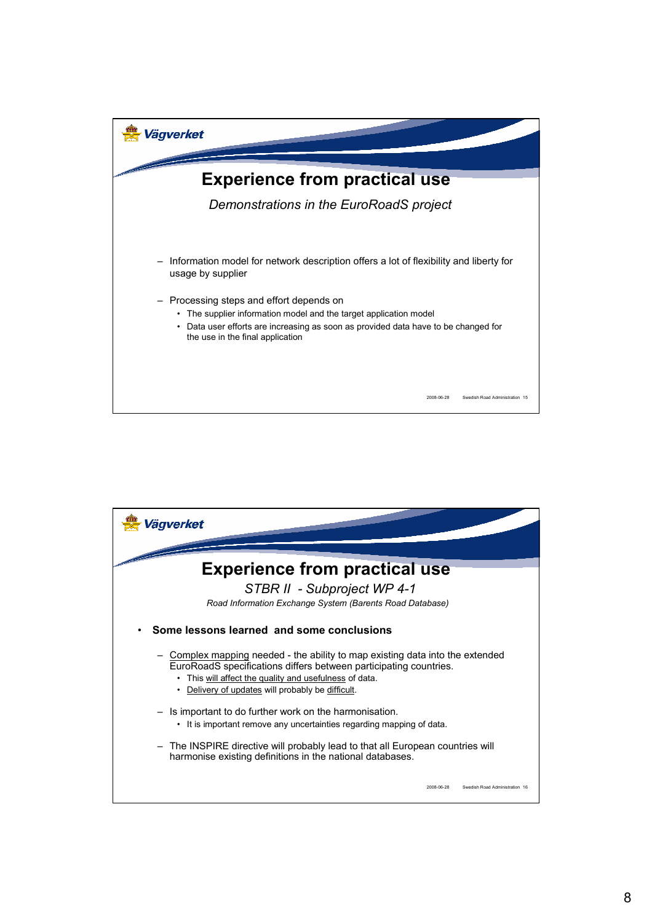

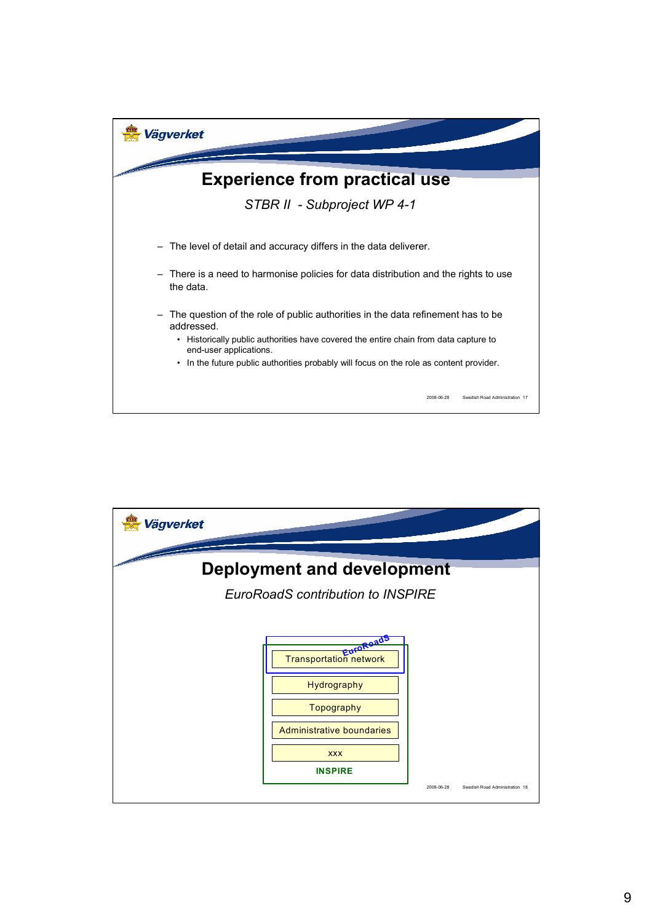